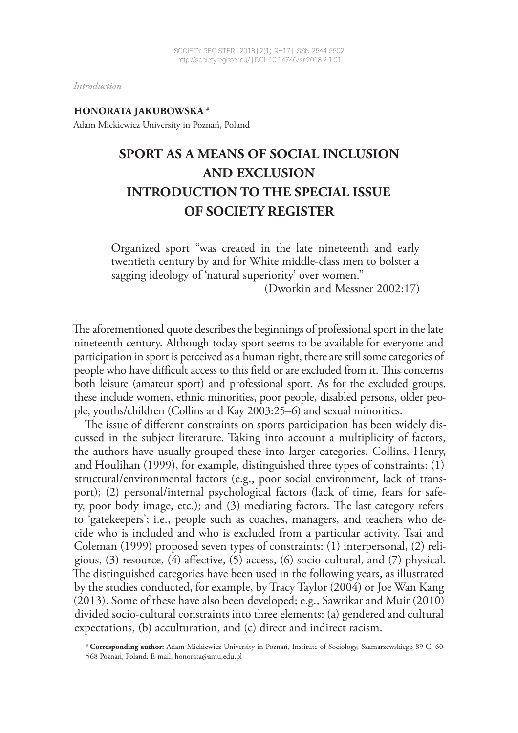*Introduction*

**HONORATA JAKUBOWSKA <sup>1</sup> #** Adam Mickiewicz University in Poznań, Poland

## **SPORT AS A MEANS OF SOCIAL INCLUSION AND EXCLUSION INTRODUCTION TO THE SPECIAL ISSUE OF SOCIETY REGISTER**

Organized sport "was created in the late nineteenth and early twentieth century by and for White middle-class men to bolster a sagging ideology of 'natural superiority' over women."

(Dworkin and Messner 2002:17)

The aforementioned quote describes the beginnings of professional sport in the late nineteenth century. Although today sport seems to be available for everyone and participation in sport is perceived as a human right, there are still some categories of people who have difficult access to this field or are excluded from it. This concerns both leisure (amateur sport) and professional sport. As for the excluded groups, these include women, ethnic minorities, poor people, disabled persons, older people, youths/children (Collins and Kay 2003:25–6) and sexual minorities.

The issue of different constraints on sports participation has been widely discussed in the subject literature. Taking into account a multiplicity of factors, the authors have usually grouped these into larger categories. Collins, Henry, and Houlihan (1999), for example, distinguished three types of constraints: (1) structural/environmental factors (e.g., poor social environment, lack of transport); (2) personal/internal psychological factors (lack of time, fears for safety, poor body image, etc.); and (3) mediating factors. The last category refers to 'gatekeepers'; i.e., people such as coaches, managers, and teachers who decide who is included and who is excluded from a particular activity. Tsai and Coleman (1999) proposed seven types of constraints: (1) interpersonal, (2) religious,  $(3)$  resource,  $(4)$  affective,  $(5)$  access,  $(6)$  socio-cultural, and  $(7)$  physical. The distinguished categories have been used in the following years, as illustrated by the studies conducted, for example, by Tracy Taylor (2004) or Joe Wan Kang (2013). Some of these have also been developed; e.g., Sawrikar and Muir (2010) divided socio-cultural constraints into three elements: (a) gendered and cultural expectations, (b) acculturation, and (c) direct and indirect racism.

<sup>1</sup> # **Corresponding author:** Adam Mickiewicz University in Poznań, Institute of Sociology, Szamarzewskiego 89 C, 60- 568 Poznań, Poland. E-mail: honorata@amu.edu.pl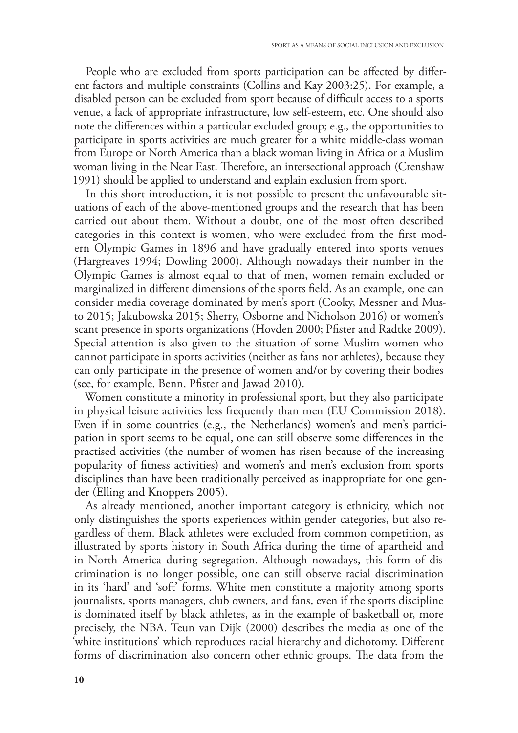People who are excluded from sports participation can be affected by different factors and multiple constraints (Collins and Kay 2003:25). For example, a disabled person can be excluded from sport because of difficult access to a sports venue, a lack of appropriate infrastructure, low self-esteem, etc. One should also note the differences within a particular excluded group; e.g., the opportunities to participate in sports activities are much greater for a white middle-class woman from Europe or North America than a black woman living in Africa or a Muslim woman living in the Near East. Therefore, an intersectional approach (Crenshaw 1991) should be applied to understand and explain exclusion from sport.

In this short introduction, it is not possible to present the unfavourable situations of each of the above-mentioned groups and the research that has been carried out about them. Without a doubt, one of the most often described categories in this context is women, who were excluded from the first modern Olympic Games in 1896 and have gradually entered into sports venues (Hargreaves 1994; Dowling 2000). Although nowadays their number in the Olympic Games is almost equal to that of men, women remain excluded or marginalized in different dimensions of the sports field. As an example, one can consider media coverage dominated by men's sport (Cooky, Messner and Musto 2015; Jakubowska 2015; Sherry, Osborne and Nicholson 2016) or women's scant presence in sports organizations (Hovden 2000; Pfister and Radtke 2009). Special attention is also given to the situation of some Muslim women who cannot participate in sports activities (neither as fans nor athletes), because they can only participate in the presence of women and/or by covering their bodies (see, for example, Benn, Pfister and Jawad  $2010$ ).

Women constitute a minority in professional sport, but they also participate in physical leisure activities less frequently than men (EU Commission 2018). Even if in some countries (e.g., the Netherlands) women's and men's participation in sport seems to be equal, one can still observe some differences in the practised activities (the number of women has risen because of the increasing popularity of fitness activities) and women's and men's exclusion from sports disciplines than have been traditionally perceived as inappropriate for one gender (Elling and Knoppers 2005).

As already mentioned, another important category is ethnicity, which not only distinguishes the sports experiences within gender categories, but also regardless of them. Black athletes were excluded from common competition, as illustrated by sports history in South Africa during the time of apartheid and in North America during segregation. Although nowadays, this form of discrimination is no longer possible, one can still observe racial discrimination in its 'hard' and 'soft' forms. White men constitute a majority among sports journalists, sports managers, club owners, and fans, even if the sports discipline is dominated itself by black athletes, as in the example of basketball or, more precisely, the NBA. Teun van Dijk (2000) describes the media as one of the 'white institutions' which reproduces racial hierarchy and dichotomy. Different forms of discrimination also concern other ethnic groups. The data from the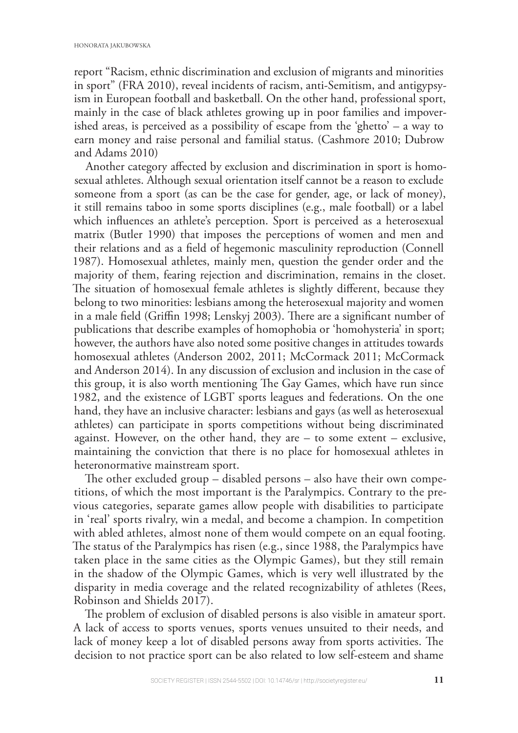report "Racism, ethnic discrimination and exclusion of migrants and minorities in sport" (FRA 2010), reveal incidents of racism, anti-Semitism, and antigypsyism in European football and basketball. On the other hand, professional sport, mainly in the case of black athletes growing up in poor families and impoverished areas, is perceived as a possibility of escape from the 'ghetto' – a way to earn money and raise personal and familial status. (Cashmore 2010; Dubrow and Adams 2010)

Another category affected by exclusion and discrimination in sport is homosexual athletes. Although sexual orientation itself cannot be a reason to exclude someone from a sport (as can be the case for gender, age, or lack of money), it still remains taboo in some sports disciplines (e.g., male football) or a label which influences an athlete's perception. Sport is perceived as a heterosexual matrix (Butler 1990) that imposes the perceptions of women and men and their relations and as a field of hegemonic masculinity reproduction (Connell 1987). Homosexual athletes, mainly men, question the gender order and the majority of them, fearing rejection and discrimination, remains in the closet. The situation of homosexual female athletes is slightly different, because they belong to two minorities: lesbians among the heterosexual majority and women in a male field (Griffin 1998; Lenskyj 2003). There are a significant number of publications that describe examples of homophobia or 'homohysteria' in sport; however, the authors have also noted some positive changes in attitudes towards homosexual athletes (Anderson 2002, 2011; McCormack 2011; McCormack and Anderson 2014). In any discussion of exclusion and inclusion in the case of this group, it is also worth mentioning The Gay Games, which have run since 1982, and the existence of LGBT sports leagues and federations. On the one hand, they have an inclusive character: lesbians and gays (as well as heterosexual athletes) can participate in sports competitions without being discriminated against. However, on the other hand, they are – to some extent – exclusive, maintaining the conviction that there is no place for homosexual athletes in heteronormative mainstream sport.

The other excluded group  $-$  disabled persons  $-$  also have their own competitions, of which the most important is the Paralympics. Contrary to the previous categories, separate games allow people with disabilities to participate in 'real' sports rivalry, win a medal, and become a champion. In competition with abled athletes, almost none of them would compete on an equal footing. The status of the Paralympics has risen (e.g., since 1988, the Paralympics have taken place in the same cities as the Olympic Games), but they still remain in the shadow of the Olympic Games, which is very well illustrated by the disparity in media coverage and the related recognizability of athletes (Rees, Robinson and Shields 2017).

The problem of exclusion of disabled persons is also visible in amateur sport. A lack of access to sports venues, sports venues unsuited to their needs, and lack of money keep a lot of disabled persons away from sports activities. The decision to not practice sport can be also related to low self-esteem and shame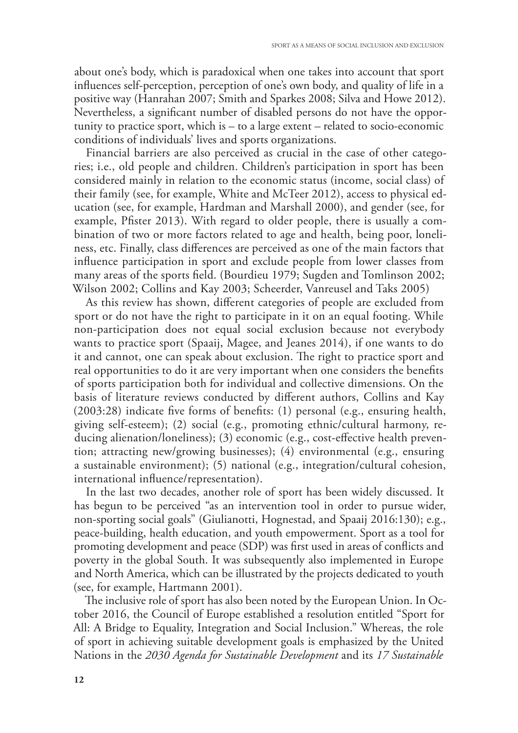about one's body, which is paradoxical when one takes into account that sport influences self-perception, perception of one's own body, and quality of life in a positive way (Hanrahan 2007; Smith and Sparkes 2008; Silva and Howe 2012). Nevertheless, a significant number of disabled persons do not have the opportunity to practice sport, which is – to a large extent – related to socio-economic conditions of individuals' lives and sports organizations.

Financial barriers are also perceived as crucial in the case of other categories; i.e., old people and children. Children's participation in sport has been considered mainly in relation to the economic status (income, social class) of their family (see, for example, White and McTeer 2012), access to physical education (see, for example, Hardman and Marshall 2000), and gender (see, for example, Pfister 2013). With regard to older people, there is usually a combination of two or more factors related to age and health, being poor, loneliness, etc. Finally, class differences are perceived as one of the main factors that influence participation in sport and exclude people from lower classes from many areas of the sports field. (Bourdieu 1979; Sugden and Tomlinson 2002; Wilson 2002; Collins and Kay 2003; Scheerder, Vanreusel and Taks 2005)

As this review has shown, different categories of people are excluded from sport or do not have the right to participate in it on an equal footing. While non-participation does not equal social exclusion because not everybody wants to practice sport (Spaaij, Magee, and Jeanes 2014), if one wants to do it and cannot, one can speak about exclusion. The right to practice sport and real opportunities to do it are very important when one considers the benefits of sports participation both for individual and collective dimensions. On the basis of literature reviews conducted by different authors, Collins and Kay  $(2003:28)$  indicate five forms of benefits:  $(1)$  personal (e.g., ensuring health, giving self-esteem); (2) social (e.g., promoting ethnic/cultural harmony, reducing alienation/loneliness); (3) economic (e.g., cost-effective health prevention; attracting new/growing businesses); (4) environmental (e.g., ensuring a sustainable environment); (5) national (e.g., integration/cultural cohesion, international influence/representation).

In the last two decades, another role of sport has been widely discussed. It has begun to be perceived "as an intervention tool in order to pursue wider, non-sporting social goals" (Giulianotti, Hognestad, and Spaaij 2016:130); e.g., peace-building, health education, and youth empowerment. Sport as a tool for promoting development and peace (SDP) was first used in areas of conflicts and poverty in the global South. It was subsequently also implemented in Europe and North America, which can be illustrated by the projects dedicated to youth (see, for example, Hartmann 2001).

The inclusive role of sport has also been noted by the European Union. In October 2016, the Council of Europe established a resolution entitled "Sport for All: A Bridge to Equality, Integration and Social Inclusion." Whereas, the role of sport in achieving suitable development goals is emphasized by the United Nations in the *2030 Agenda for Sustainable Development* and its *17 Sustainable*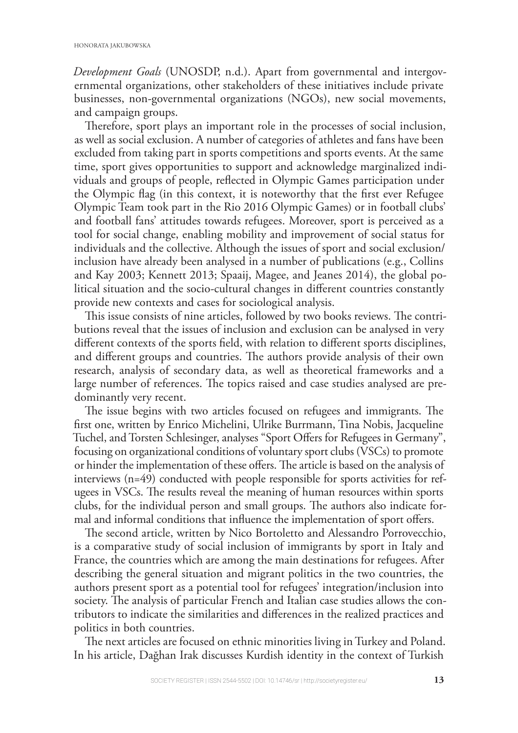*Development Goals* (UNOSDP, n.d.). Apart from governmental and intergovernmental organizations, other stakeholders of these initiatives include private businesses, non-governmental organizations (NGOs), new social movements, and campaign groups.

Therefore, sport plays an important role in the processes of social inclusion, as well as social exclusion. A number of categories of athletes and fans have been excluded from taking part in sports competitions and sports events. At the same time, sport gives opportunities to support and acknowledge marginalized individuals and groups of people, reflected in Olympic Games participation under the Olympic flag (in this context, it is noteworthy that the first ever Refugee Olympic Team took part in the Rio 2016 Olympic Games) or in football clubs' and football fans' attitudes towards refugees. Moreover, sport is perceived as a tool for social change, enabling mobility and improvement of social status for individuals and the collective. Although the issues of sport and social exclusion/ inclusion have already been analysed in a number of publications (e.g., Collins and Kay 2003; Kennett 2013; Spaaij, Magee, and Jeanes 2014), the global political situation and the socio-cultural changes in different countries constantly provide new contexts and cases for sociological analysis.

This issue consists of nine articles, followed by two books reviews. The contributions reveal that the issues of inclusion and exclusion can be analysed in very different contexts of the sports field, with relation to different sports disciplines, and different groups and countries. The authors provide analysis of their own research, analysis of secondary data, as well as theoretical frameworks and a large number of references. The topics raised and case studies analysed are predominantly very recent.

The issue begins with two articles focused on refugees and immigrants. The first one, written by Enrico Michelini, Ulrike Burrmann, Tina Nobis, Jacqueline Tuchel, and Torsten Schlesinger, analyses "Sport Offers for Refugees in Germany", focusing on organizational conditions of voluntary sport clubs (VSCs) to promote or hinder the implementation of these offers. The article is based on the analysis of interviews (n=49) conducted with people responsible for sports activities for refugees in VSCs. The results reveal the meaning of human resources within sports clubs, for the individual person and small groups. The authors also indicate formal and informal conditions that influence the implementation of sport offers.

The second article, written by Nico Bortoletto and Alessandro Porrovecchio, is a comparative study of social inclusion of immigrants by sport in Italy and France, the countries which are among the main destinations for refugees. After describing the general situation and migrant politics in the two countries, the authors present sport as a potential tool for refugees' integration/inclusion into society. The analysis of particular French and Italian case studies allows the contributors to indicate the similarities and differences in the realized practices and politics in both countries.

The next articles are focused on ethnic minorities living in Turkey and Poland. In his article, Dağhan Irak discusses Kurdish identity in the context of Turkish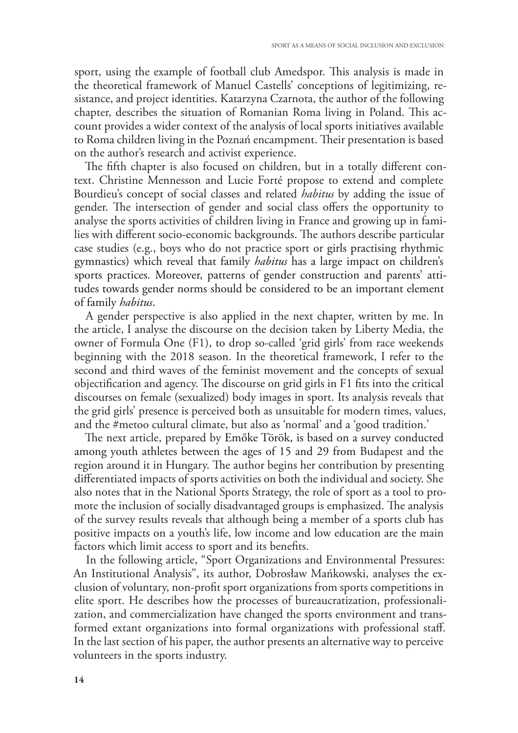sport, using the example of football club Amedspor. This analysis is made in the theoretical framework of Manuel Castells' conceptions of legitimizing, resistance, and project identities. Katarzyna Czarnota, the author of the following chapter, describes the situation of Romanian Roma living in Poland. This account provides a wider context of the analysis of local sports initiatives available to Roma children living in the Poznań encampment. Their presentation is based on the author's research and activist experience.

The fifth chapter is also focused on children, but in a totally different context. Christine Mennesson and Lucie Forté propose to extend and complete Bourdieu's concept of social classes and related *habitus* by adding the issue of gender. The intersection of gender and social class offers the opportunity to analyse the sports activities of children living in France and growing up in families with different socio-economic backgrounds. The authors describe particular case studies (e.g., boys who do not practice sport or girls practising rhythmic gymnastics) which reveal that family *habitus* has a large impact on children's sports practices. Moreover, patterns of gender construction and parents' attitudes towards gender norms should be considered to be an important element of family *habitus*.

A gender perspective is also applied in the next chapter, written by me. In the article, I analyse the discourse on the decision taken by Liberty Media, the owner of Formula One (F1), to drop so-called 'grid girls' from race weekends beginning with the 2018 season. In the theoretical framework, I refer to the second and third waves of the feminist movement and the concepts of sexual objectification and agency. The discourse on grid girls in F1 fits into the critical discourses on female (sexualized) body images in sport. Its analysis reveals that the grid girls' presence is perceived both as unsuitable for modern times, values, and the #metoo cultural climate, but also as 'normal' and a 'good tradition.'

The next article, prepared by Emőke Török, is based on a survey conducted among youth athletes between the ages of 15 and 29 from Budapest and the region around it in Hungary. The author begins her contribution by presenting differentiated impacts of sports activities on both the individual and society. She also notes that in the National Sports Strategy, the role of sport as a tool to promote the inclusion of socially disadvantaged groups is emphasized. The analysis of the survey results reveals that although being a member of a sports club has positive impacts on a youth's life, low income and low education are the main factors which limit access to sport and its benefits.

In the following article, "Sport Organizations and Environmental Pressures: An Institutional Analysis", its author, Dobrosław Mańkowski, analyses the exclusion of voluntary, non-profit sport organizations from sports competitions in elite sport. He describes how the processes of bureaucratization, professionalization, and commercialization have changed the sports environment and transformed extant organizations into formal organizations with professional staff. In the last section of his paper, the author presents an alternative way to perceive volunteers in the sports industry.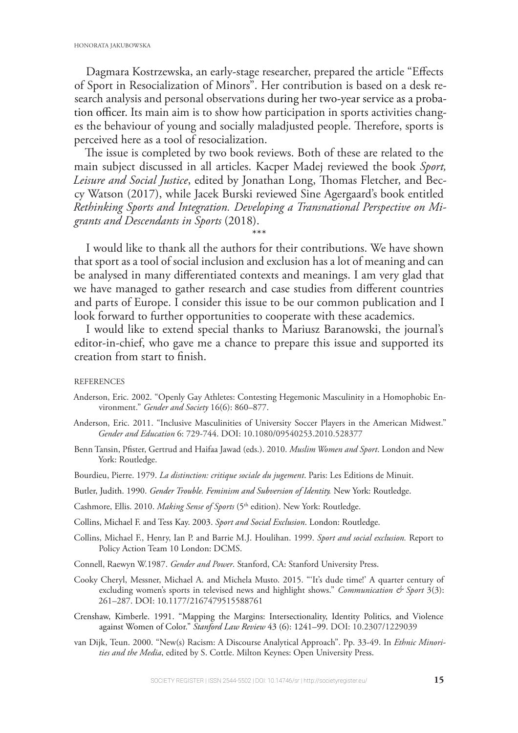Dagmara Kostrzewska, an early-stage researcher, prepared the article "Effects" of Sport in Resocialization of Minors". Her contribution is based on a desk research analysis and personal observations during her two-year service as a probation officer. Its main aim is to show how participation in sports activities changes the behaviour of young and socially maladjusted people. Therefore, sports is perceived here as a tool of resocialization.

The issue is completed by two book reviews. Both of these are related to the main subject discussed in all articles. Kacper Madej reviewed the book *Sport,*  Leisure and Social Justice, edited by Jonathan Long, Thomas Fletcher, and Beccy Watson (2017), while Jacek Burski reviewed Sine Agergaard's book entitled *Rethinking Sports and Integration. Developing a Transnational Perspective on Migrants and Descendants in Sports* (2018).

\*\*\*

I would like to thank all the authors for their contributions. We have shown that sport as a tool of social inclusion and exclusion has a lot of meaning and can be analysed in many differentiated contexts and meanings. I am very glad that we have managed to gather research and case studies from different countries and parts of Europe. I consider this issue to be our common publication and I look forward to further opportunities to cooperate with these academics.

I would like to extend special thanks to Mariusz Baranowski, the journal's editor-in-chief, who gave me a chance to prepare this issue and supported its creation from start to finish.

## **REFERENCES**

- Anderson, Eric. 2002. "Openly Gay Athletes: Contesting Hegemonic Masculinity in a Homophobic Environment." *Gender and Society* 16(6): 860–877.
- Anderson, Eric. 2011. "Inclusive Masculinities of University Soccer Players in the American Midwest." *Gender and Education* 6: 729-744. DOI: 10.1080/09540253.2010.528377
- Benn Tansin, Pfister, Gertrud and Haifaa Jawad (eds.). 2010. *Muslim Women and Sport*. London and New York: Routledge.
- Bourdieu, Pierre. 1979. *La distinction: critique sociale du jugement*. Paris: Les Editions de Minuit.
- Butler, Judith. 1990. *Gender Trouble. Feminism and Subversion of Identity.* New York: Routledge.
- Cashmore, Ellis. 2010. *Making Sense of Sports* (5th edition). New York: Routledge.
- Collins, Michael F. and Tess Kay. 2003. *Sport and Social Exclusion*. London: Routledge.
- Collins, Michael F., Henry, Ian P. and Barrie M.J. Houlihan. 1999. *Sport and social exclusion.* Report to Policy Action Team 10 London: DCMS.
- Connell, Raewyn W.1987. *Gender and Power*. Stanford, CA: Stanford University Press.
- Cooky Cheryl, Messner, Michael A. and Michela Musto. 2015. "'It's dude time!' A quarter century of excluding women's sports in televised news and highlight shows." *Communication & Sport 3(3)*: 261–287. DOI: 10.1177/2167479515588761
- Crenshaw, Kimberle. 1991. "Mapping the Margins: Intersectionality, Identity Politics, and Violence against Women of Color." *Stanford Law Review* 43 (6): 1241–99. DOI: 10.2307/1229039
- van Dijk, Teun. 2000. "New(s) Racism: A Discourse Analytical Approach". Pp. 33-49. In *Ethnic Minorities and the Media*, edited by S. Cottle. Milton Keynes: Open University Press.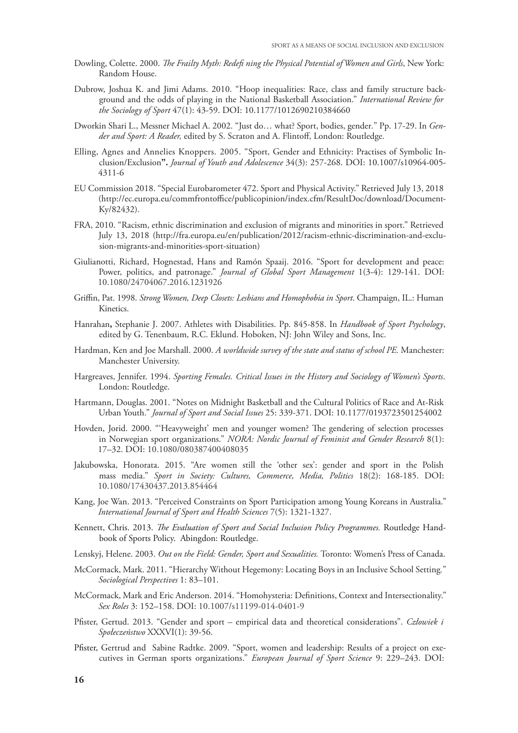- Dowling, Colette. 2000. *The Frailty Myth: Redefi ning the Physical Potential of Women and Girls*, New York: Random House.
- Dubrow, Joshua K. and Jimi Adams. 2010. "Hoop inequalities: Race, class and family structure background and the odds of playing in the National Basketball Association." *International Review for the Sociology of Sport* 47(1): 43-59. DOI: 10.1177/1012690210384660
- Dworkin Shari L., Messner Michael A. 2002. "Just do… what? Sport, bodies, gender*.*" Pp. 17-29. In *Gen*der and Sport: A Reader, edited by S. Scraton and A. Flintoff, London: Routledge.
- Elling, Agnes and Annelies Knoppers. 2005. "Sport, Gender and Ethnicity: Practises of Symbolic Inclusion/Exclusion**".** *Journal of Youth and Adolescence* 34(3): 257-268. DOI: 10.1007/s10964-005- 4311-6
- EU Commission 2018. "Special Eurobarometer 472. Sport and Physical Activity." Retrieved July 13, 2018 (http://ec.europa.eu/commfrontoffice/publicopinion/index.cfm/ResultDoc/download/Document-Ky/82432).
- FRA, 2010. "Racism, ethnic discrimination and exclusion of migrants and minorities in sport." Retrieved July 13, 2018 (http://fra.europa.eu/en/publication/2012/racism-ethnic-discrimination-and-exclusion-migrants-and-minorities-sport-situation)
- Giulianotti, Richard, Hognestad, Hans and Ramón Spaaij. 2016. "Sport for development and peace: Power, politics, and patronage." *Journal of Global Sport Management* 1(3-4): 129-141. DOI: 10.1080/24704067.2016.1231926
- Griffin, Pat. 1998. *Strong Women, Deep Closets: Lesbians and Homophobia in Sport*. Champaign, IL.: Human Kinetics.
- Hanrahan**,** Stephanie J. 2007. Athletes with Disabilities. Pp. 845-858. In *Handbook of Sport Psychology*, edited by G. Tenenbaum, R.C. Eklund. Hoboken, NJ: John Wiley and Sons, Inc.
- Hardman, Ken and Joe Marshall. 2000. *A worldwide survey of the state and status of school PE.* Manchester: Manchester University.
- Hargreaves, Jennifer. 1994. *Sporting Females. Critical Issues in the History and Sociology of Women's Sports*. London: Routledge.
- Hartmann, Douglas. 2001. "Notes on Midnight Basketball and the Cultural Politics of Race and At-Risk Urban Youth." *Journal of Sport and Social Issues* 25: 339-371. DOI: 10.1177/0193723501254002
- Hovden, Jorid. 2000. "'Heavyweight' men and younger women? The gendering of selection processes in Norwegian sport organizations." *NORA: Nordic Journal of Feminist and Gender Research* 8(1): 17–32. DOI: 10.1080/080387400408035
- Jakubowska, Honorata. 2015. "Are women still the 'other sex': gender and sport in the Polish mass media." *Sport in Society: Cultures, Commerce, Media, Politics* 18(2): 168-185. DOI: 10.1080/17430437.2013.854464
- Kang, Joe Wan. 2013. "Perceived Constraints on Sport Participation among Young Koreans in Australia." *International Journal of Sport and Health Sciences* 7(5): 1321-1327.
- Kennett, Chris. 2013. *The Evaluation of Sport and Social Inclusion Policy Programmes*. Routledge Handbook of Sports Policy. Abingdon: Routledge.
- Lenskyj, Helene. 2003. *Out on the Field: Gender, Sport and Sexualities.* Toronto: Women's Press of Canada.
- McCormack, Mark. 2011. "Hierarchy Without Hegemony: Locating Boys in an Inclusive School Setting*.*" *Sociological Perspectives* 1: 83–101.
- McCormack, Mark and Eric Anderson. 2014. "Homohysteria: Definitions, Context and Intersectionality." *Sex Roles* 3: 152–158. DOI: 10.1007/s11199-014-0401-9
- Pfister, Gertud. 2013. "Gender and sport empirical data and theoretical considerations". Człowiek i *Społeczeństwo* XXXVI(1): 39-56.
- Pfister, Gertrud and Sabine Radtke. 2009. "Sport, women and leadership: Results of a project on executives in German sports organizations." *European Journal of Sport Science* 9: 229–243. DOI: